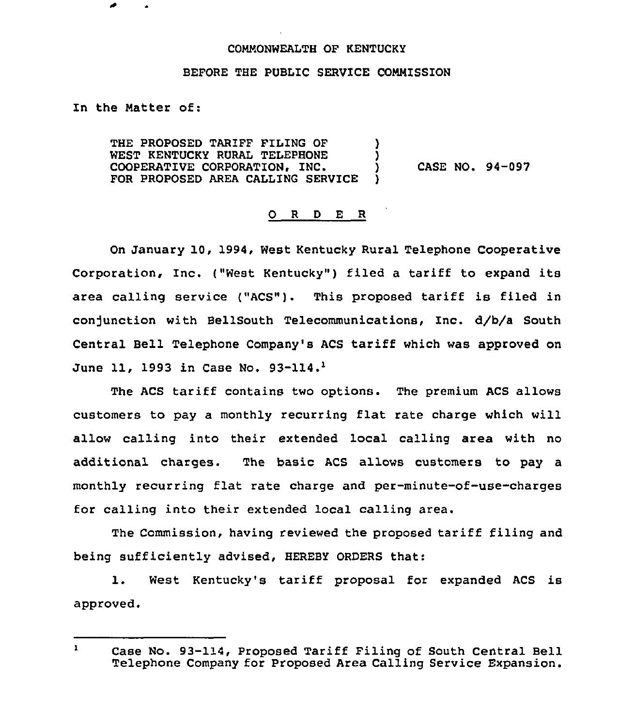## COMMONWEALTH OF KENTUCKY

## BEFORE THE PUBLIC SERVICE COMNISSION

In the Natter of:

THE PROPOSED TARIFF FILING OF  $\overline{)}$ <br>WEST KENTUCKY RURAL TELEPHONE  $\overline{)}$ WEST KENTUCKY RURAL TELEPHONE )<br>COOPERATIVE CORPORATION. INC. ) COOPERATIVE CORPORATION, INC. FOR PROPOSED AREA CALLING SERVICE

CASE NO. 94-097

## 0 <sup>R</sup> <sup>D</sup> E <sup>R</sup>

On January 10, 1994, West Kentucky Rural Telephone Cooperative Corporation, Inc. ("West Kentucky") filed a tariff to expand its area calling service ("ACS"). This proposed tariff is filed in conjunction with BellSouth Telecommunications, Inc. d/b/a South Central Bell Telephone Company's ACS tariff which was approved on June 11, 1993 in Case No. 93-114.<sup>1</sup>

The ACS tariff contains two options. The premium ACS allows customers to pay a monthly recurring flat rate charge which will allow calling into their extended local calling area with no additional charges. The basic ACS allows customers to pay a monthly recurring flat rate charge and per-minute-of-use-charges for calling into their extended local calling area.

The Commission, having reviewed the proposed tariff filing and being sufficiently advised, HEREBY ORDERS that:

1. West Kentucky's tariff proposal for expanded ACS is approved.

 $\mathbf{1}$ Case No. 93-114, Proposed Tariff Filing of South Central Bell Telephone Company for Proposed Area Calling Service Expansion.